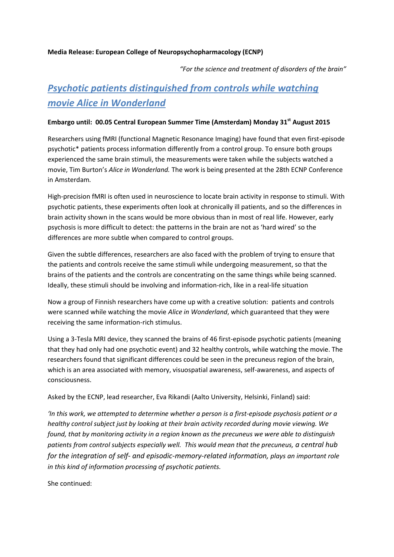## **Media Release: European College of Neuropsychopharmacology (ECNP)**

*"For the science and treatment of disorders of the brain"*

# *Psychotic patients distinguished from controls while watching movie Alice in Wonderland*

# **Embargo until: 00.05 Central European Summer Time (Amsterdam) Monday 31st August 2015**

Researchers using fMRI (functional Magnetic Resonance Imaging) have found that even first-episode psychotic\* patients process information differently from a control group. To ensure both groups experienced the same brain stimuli, the measurements were taken while the subjects watched a movie, Tim Burton's *Alice in Wonderland.* The work is being presented at the 28th ECNP Conference in Amsterdam*.*

High-precision fMRI is often used in neuroscience to locate brain activity in response to stimuli. With psychotic patients, these experiments often look at chronically ill patients, and so the differences in brain activity shown in the scans would be more obvious than in most of real life. However, early psychosis is more difficult to detect: the patterns in the brain are not as 'hard wired' so the differences are more subtle when compared to control groups.

Given the subtle differences, researchers are also faced with the problem of trying to ensure that the patients and controls receive the same stimuli while undergoing measurement, so that the brains of the patients and the controls are concentrating on the same things while being scanned. Ideally, these stimuli should be involving and information-rich, like in a real-life situation

Now a group of Finnish researchers have come up with a creative solution: patients and controls were scanned while watching the movie *Alice in Wonderland*, which guaranteed that they were receiving the same information-rich stimulus.

Using a 3-Tesla MRI device, they scanned the brains of 46 first-episode psychotic patients (meaning that they had only had one psychotic event) and 32 healthy controls, while watching the movie. The researchers found that significant differences could be seen in the precuneus region of the brain, which is an area associated with memory, visuospatial awareness, self-awareness, and aspects of consciousness.

Asked by the ECNP, lead researcher, Eva Rikandi (Aalto University, Helsinki, Finland) said:

*'In this work, we attempted to determine whether a person is a first-episode psychosis patient or a healthy control subject just by looking at their brain activity recorded during movie viewing. We found, that by monitoring activity in a region known as the precuneus we were able to distinguish*  patients from control subjects especially well. This would mean that the precuneus, a central hub *for the integration of self- and episodic-memory-related information, plays an important role in this kind of information processing of psychotic patients.* 

She continued: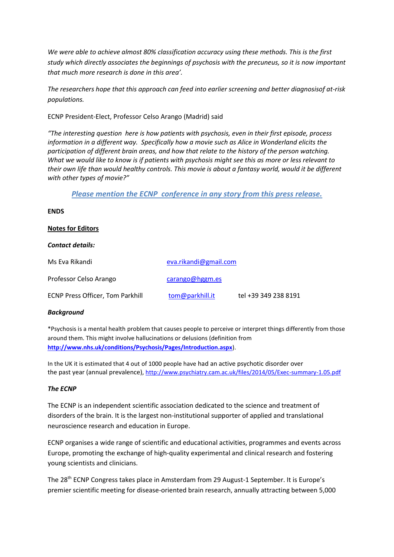*We were able to achieve almost 80% classification accuracy using these methods. This is the first study which directly associates the beginnings of psychosis with the precuneus, so it is now important that much more research is done in this area'.*

*The researchers hope that this approach can feed into earlier screening and better diagnosisof at-risk populations.* 

ECNP President-Elect, Professor Celso Arango (Madrid) said

*"The interesting question here is how patients with psychosis, even in their first episode, process information in a different way. Specifically how a movie such as Alice in Wonderland elicits the participation of different brain areas, and how that relate to the history of the person watching. What we would like to know is if patients with psychosis might see this as more or less relevant to their own life than would healthy controls. This movie is about a fantasy world, would it be different with other types of movie?"*

*Please mention the ECNP conference in any story from this press release.*

# **ENDS**

# **Notes for Editors**

## *Contact details:*

| Ms Eva Rikandi                          | eva.rikandi@gmail.com |                      |
|-----------------------------------------|-----------------------|----------------------|
| Professor Celso Arango                  | carango@hggm.es       |                      |
| <b>ECNP Press Officer, Tom Parkhill</b> | tom@parkhill.it       | tel +39 349 238 8191 |

## *Background*

\*Psychosis is a mental health problem that causes people to perceive or interpret things differently from those around them. This might involve hallucinations or delusions (definition from **<http://www.nhs.uk/conditions/Psychosis/Pages/Introduction.aspx>**).

In the UK it is estimated that 4 out of 1000 people have had an active psychotic disorder over the past year (annual prevalence), <http://www.psychiatry.cam.ac.uk/files/2014/05/Exec-summary-1.05.pdf>

## *The ECNP*

The ECNP is an independent scientific association dedicated to the science and treatment of disorders of the brain. It is the largest non-institutional supporter of applied and translational neuroscience research and education in Europe.

ECNP organises a wide range of scientific and educational activities, programmes and events across Europe, promoting the exchange of high-quality experimental and clinical research and fostering young scientists and clinicians.

The 28<sup>th</sup> ECNP Congress takes place in Amsterdam from 29 August-1 September. It is Europe's premier scientific meeting for disease-oriented brain research, annually attracting between 5,000